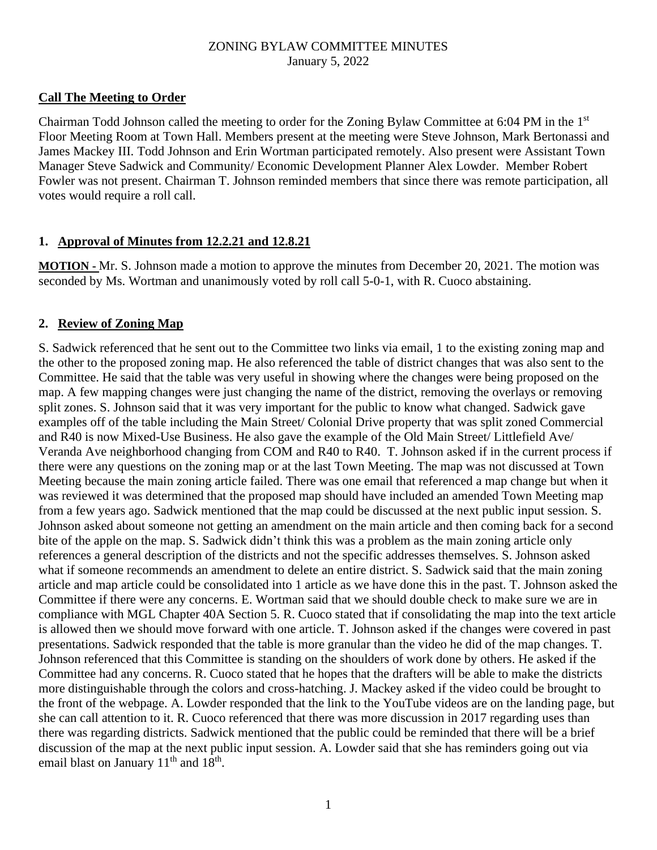### **Call The Meeting to Order**

Chairman Todd Johnson called the meeting to order for the Zoning Bylaw Committee at 6:04 PM in the 1st Floor Meeting Room at Town Hall. Members present at the meeting were Steve Johnson, Mark Bertonassi and James Mackey III. Todd Johnson and Erin Wortman participated remotely. Also present were Assistant Town Manager Steve Sadwick and Community/ Economic Development Planner Alex Lowder. Member Robert Fowler was not present. Chairman T. Johnson reminded members that since there was remote participation, all votes would require a roll call.

### **1. Approval of Minutes from 12.2.21 and 12.8.21**

**MOTION -** Mr. S. Johnson made a motion to approve the minutes from December 20, 2021. The motion was seconded by Ms. Wortman and unanimously voted by roll call 5-0-1, with R. Cuoco abstaining.

### **2. Review of Zoning Map**

S. Sadwick referenced that he sent out to the Committee two links via email, 1 to the existing zoning map and the other to the proposed zoning map. He also referenced the table of district changes that was also sent to the Committee. He said that the table was very useful in showing where the changes were being proposed on the map. A few mapping changes were just changing the name of the district, removing the overlays or removing split zones. S. Johnson said that it was very important for the public to know what changed. Sadwick gave examples off of the table including the Main Street/ Colonial Drive property that was split zoned Commercial and R40 is now Mixed-Use Business. He also gave the example of the Old Main Street/ Littlefield Ave/ Veranda Ave neighborhood changing from COM and R40 to R40. T. Johnson asked if in the current process if there were any questions on the zoning map or at the last Town Meeting. The map was not discussed at Town Meeting because the main zoning article failed. There was one email that referenced a map change but when it was reviewed it was determined that the proposed map should have included an amended Town Meeting map from a few years ago. Sadwick mentioned that the map could be discussed at the next public input session. S. Johnson asked about someone not getting an amendment on the main article and then coming back for a second bite of the apple on the map. S. Sadwick didn't think this was a problem as the main zoning article only references a general description of the districts and not the specific addresses themselves. S. Johnson asked what if someone recommends an amendment to delete an entire district. S. Sadwick said that the main zoning article and map article could be consolidated into 1 article as we have done this in the past. T. Johnson asked the Committee if there were any concerns. E. Wortman said that we should double check to make sure we are in compliance with MGL Chapter 40A Section 5. R. Cuoco stated that if consolidating the map into the text article is allowed then we should move forward with one article. T. Johnson asked if the changes were covered in past presentations. Sadwick responded that the table is more granular than the video he did of the map changes. T. Johnson referenced that this Committee is standing on the shoulders of work done by others. He asked if the Committee had any concerns. R. Cuoco stated that he hopes that the drafters will be able to make the districts more distinguishable through the colors and cross-hatching. J. Mackey asked if the video could be brought to the front of the webpage. A. Lowder responded that the link to the YouTube videos are on the landing page, but she can call attention to it. R. Cuoco referenced that there was more discussion in 2017 regarding uses than there was regarding districts. Sadwick mentioned that the public could be reminded that there will be a brief discussion of the map at the next public input session. A. Lowder said that she has reminders going out via email blast on January 11<sup>th</sup> and 18<sup>th</sup>.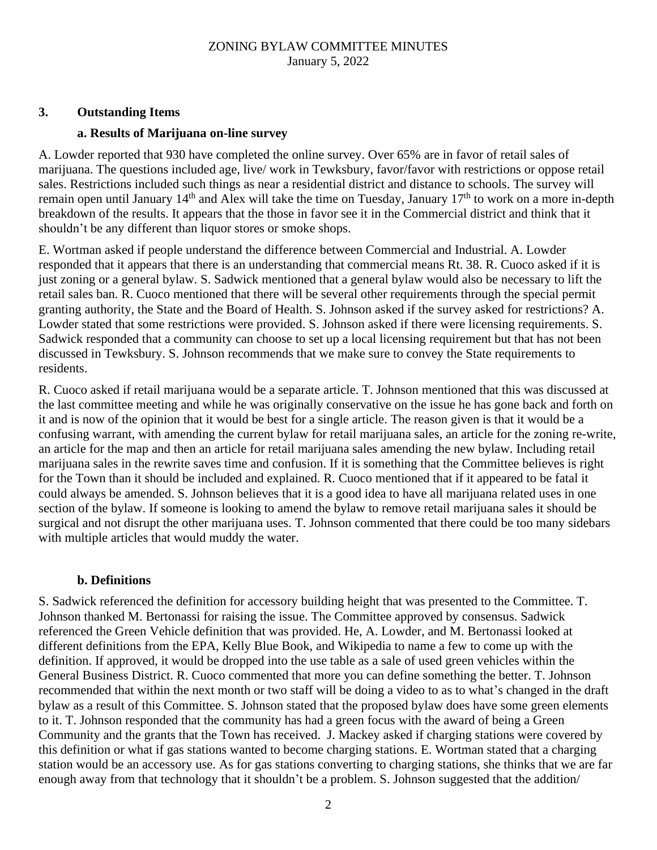### **3. Outstanding Items**

#### **a. Results of Marijuana on-line survey**

A. Lowder reported that 930 have completed the online survey. Over 65% are in favor of retail sales of marijuana. The questions included age, live/ work in Tewksbury, favor/favor with restrictions or oppose retail sales. Restrictions included such things as near a residential district and distance to schools. The survey will remain open until January  $14<sup>th</sup>$  and Alex will take the time on Tuesday, January  $17<sup>th</sup>$  to work on a more in-depth breakdown of the results. It appears that the those in favor see it in the Commercial district and think that it shouldn't be any different than liquor stores or smoke shops.

E. Wortman asked if people understand the difference between Commercial and Industrial. A. Lowder responded that it appears that there is an understanding that commercial means Rt. 38. R. Cuoco asked if it is just zoning or a general bylaw. S. Sadwick mentioned that a general bylaw would also be necessary to lift the retail sales ban. R. Cuoco mentioned that there will be several other requirements through the special permit granting authority, the State and the Board of Health. S. Johnson asked if the survey asked for restrictions? A. Lowder stated that some restrictions were provided. S. Johnson asked if there were licensing requirements. S. Sadwick responded that a community can choose to set up a local licensing requirement but that has not been discussed in Tewksbury. S. Johnson recommends that we make sure to convey the State requirements to residents.

R. Cuoco asked if retail marijuana would be a separate article. T. Johnson mentioned that this was discussed at the last committee meeting and while he was originally conservative on the issue he has gone back and forth on it and is now of the opinion that it would be best for a single article. The reason given is that it would be a confusing warrant, with amending the current bylaw for retail marijuana sales, an article for the zoning re-write, an article for the map and then an article for retail marijuana sales amending the new bylaw. Including retail marijuana sales in the rewrite saves time and confusion. If it is something that the Committee believes is right for the Town than it should be included and explained. R. Cuoco mentioned that if it appeared to be fatal it could always be amended. S. Johnson believes that it is a good idea to have all marijuana related uses in one section of the bylaw. If someone is looking to amend the bylaw to remove retail marijuana sales it should be surgical and not disrupt the other marijuana uses. T. Johnson commented that there could be too many sidebars with multiple articles that would muddy the water.

#### **b. Definitions**

S. Sadwick referenced the definition for accessory building height that was presented to the Committee. T. Johnson thanked M. Bertonassi for raising the issue. The Committee approved by consensus. Sadwick referenced the Green Vehicle definition that was provided. He, A. Lowder, and M. Bertonassi looked at different definitions from the EPA, Kelly Blue Book, and Wikipedia to name a few to come up with the definition. If approved, it would be dropped into the use table as a sale of used green vehicles within the General Business District. R. Cuoco commented that more you can define something the better. T. Johnson recommended that within the next month or two staff will be doing a video to as to what's changed in the draft bylaw as a result of this Committee. S. Johnson stated that the proposed bylaw does have some green elements to it. T. Johnson responded that the community has had a green focus with the award of being a Green Community and the grants that the Town has received. J. Mackey asked if charging stations were covered by this definition or what if gas stations wanted to become charging stations. E. Wortman stated that a charging station would be an accessory use. As for gas stations converting to charging stations, she thinks that we are far enough away from that technology that it shouldn't be a problem. S. Johnson suggested that the addition/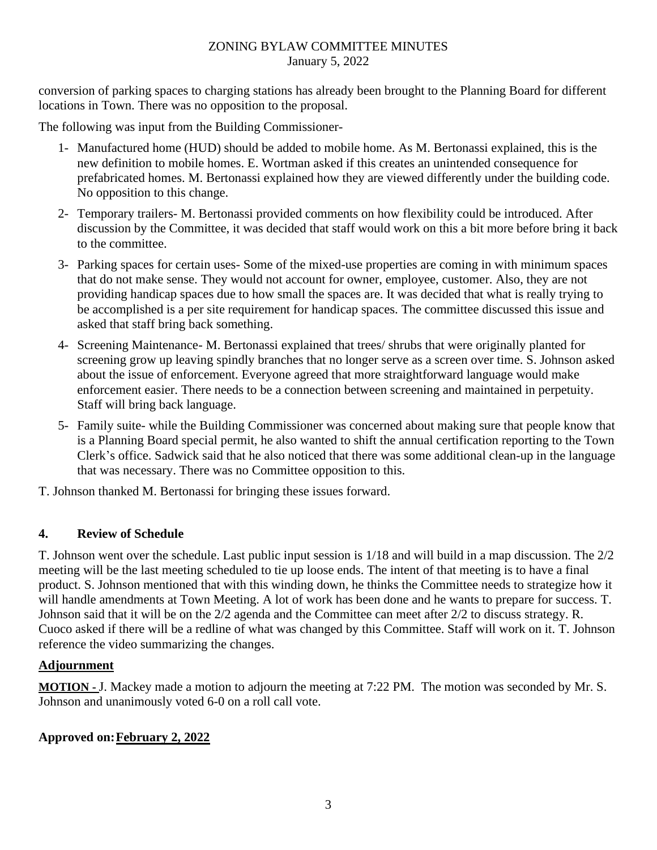conversion of parking spaces to charging stations has already been brought to the Planning Board for different locations in Town. There was no opposition to the proposal.

The following was input from the Building Commissioner-

- 1- Manufactured home (HUD) should be added to mobile home. As M. Bertonassi explained, this is the new definition to mobile homes. E. Wortman asked if this creates an unintended consequence for prefabricated homes. M. Bertonassi explained how they are viewed differently under the building code. No opposition to this change.
- 2- Temporary trailers- M. Bertonassi provided comments on how flexibility could be introduced. After discussion by the Committee, it was decided that staff would work on this a bit more before bring it back to the committee.
- 3- Parking spaces for certain uses- Some of the mixed-use properties are coming in with minimum spaces that do not make sense. They would not account for owner, employee, customer. Also, they are not providing handicap spaces due to how small the spaces are. It was decided that what is really trying to be accomplished is a per site requirement for handicap spaces. The committee discussed this issue and asked that staff bring back something.
- 4- Screening Maintenance- M. Bertonassi explained that trees/ shrubs that were originally planted for screening grow up leaving spindly branches that no longer serve as a screen over time. S. Johnson asked about the issue of enforcement. Everyone agreed that more straightforward language would make enforcement easier. There needs to be a connection between screening and maintained in perpetuity. Staff will bring back language.
- 5- Family suite- while the Building Commissioner was concerned about making sure that people know that is a Planning Board special permit, he also wanted to shift the annual certification reporting to the Town Clerk's office. Sadwick said that he also noticed that there was some additional clean-up in the language that was necessary. There was no Committee opposition to this.

T. Johnson thanked M. Bertonassi for bringing these issues forward.

# **4. Review of Schedule**

T. Johnson went over the schedule. Last public input session is 1/18 and will build in a map discussion. The 2/2 meeting will be the last meeting scheduled to tie up loose ends. The intent of that meeting is to have a final product. S. Johnson mentioned that with this winding down, he thinks the Committee needs to strategize how it will handle amendments at Town Meeting. A lot of work has been done and he wants to prepare for success. T. Johnson said that it will be on the 2/2 agenda and the Committee can meet after 2/2 to discuss strategy. R. Cuoco asked if there will be a redline of what was changed by this Committee. Staff will work on it. T. Johnson reference the video summarizing the changes.

# **Adjournment**

**MOTION -** J. Mackey made a motion to adjourn the meeting at 7:22 PM. The motion was seconded by Mr. S. Johnson and unanimously voted 6-0 on a roll call vote.

# **Approved on:February 2, 2022**